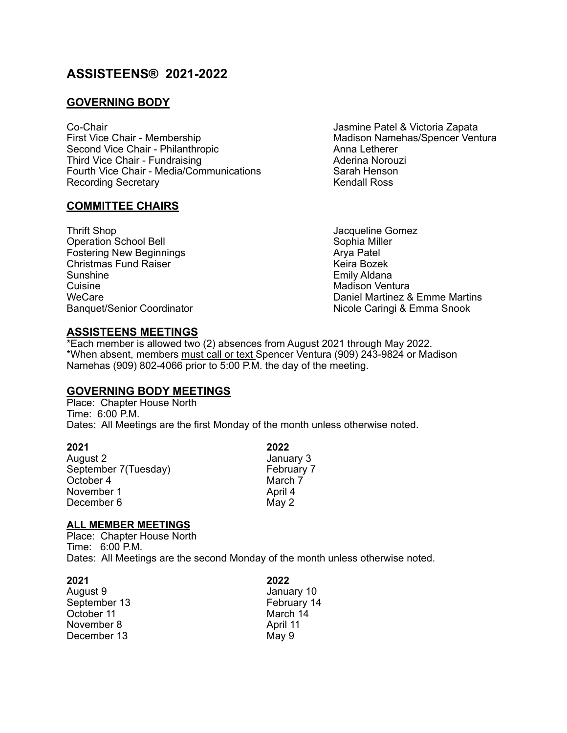# **ASSISTEENS® 2021-2022**

# **GOVERNING BODY**

Co-Chair **Company Company Company Company Company Company Company Company Company Company Company Company Company** First Vice Chair - Membership Mathematic Madison Namehas/Spencer Ventura Second Vice Chair - Philanthropic **Anna Letherer** Anna Letherer Third Vice Chair - Fundraising **Aderina Norouzi** Aderina Norouzi Fourth Vice Chair - Media/Communications Sarah Henson Recording Secretary **Kendall Ross** 

### **COMMITTEE CHAIRS**

Thrift Shop<br>
Operation School Bell<br>
Operation School Bell<br>
Operation School Bell Operation School Bell Sophia Mill<br>
Fostering New Beginnings<br>
Arva Patel Fostering New Beginnings<br>
Christmas Fund Raiser<br>
Christmas Fund Raiser Christmas Fund Raiser<br>Sunshine Sunshine **Emily Aldana**<br>Cuisine **Emily Aldana**<br>Madison Vent Cuisine Cuisine Cuisine<br>
Madison Ventura<br>
MeCare Cuisine MeCare Cuisine Madison Ventura<br>
Madison Ventura

WeCare<br>
Daniel Martinez & Emme Martins<br>
Daniel Martinez & Emme Martins<br>
Nicole Caringi & Emma Snook Nicole Caringi & Emma Snook

## **ASSISTEENS MEETINGS**

\*Each member is allowed two (2) absences from August 2021 through May 2022. \*When absent, members must call or text Spencer Ventura (909) 243-9824 or Madison Namehas (909) 802-4066 prior to 5:00 P.M. the day of the meeting.

### **GOVERNING BODY MEETINGS**

Place: Chapter House North Time: 6:00 P.M. Dates: All Meetings are the first Monday of the month unless otherwise noted.

**2021 2022**

August 2 January 3 September 7(Tuesday) February<br>October 4 March 7 October 4 March 7 March 7 March 7 March 7 March 7 March 7 March 7 March 7 March 7 March 7 March 7 March 7 March 7 March 7 March 7 March 7 March 7 March 7 March 7 March 7 March 7 March 7 March 7 March 7 March 7 March 7 Marc November 1 December 6 May 2

### **ALL MEMBER MEETINGS**

Place: Chapter House North Time: 6:00 P.M. Dates: All Meetings are the second Monday of the month unless otherwise noted.

| 2021         | 2022        |
|--------------|-------------|
| August 9     | January 10  |
| September 13 | February 14 |
| October 11   | March 14    |
| November 8   | April 11    |
| December 13  | May 9       |